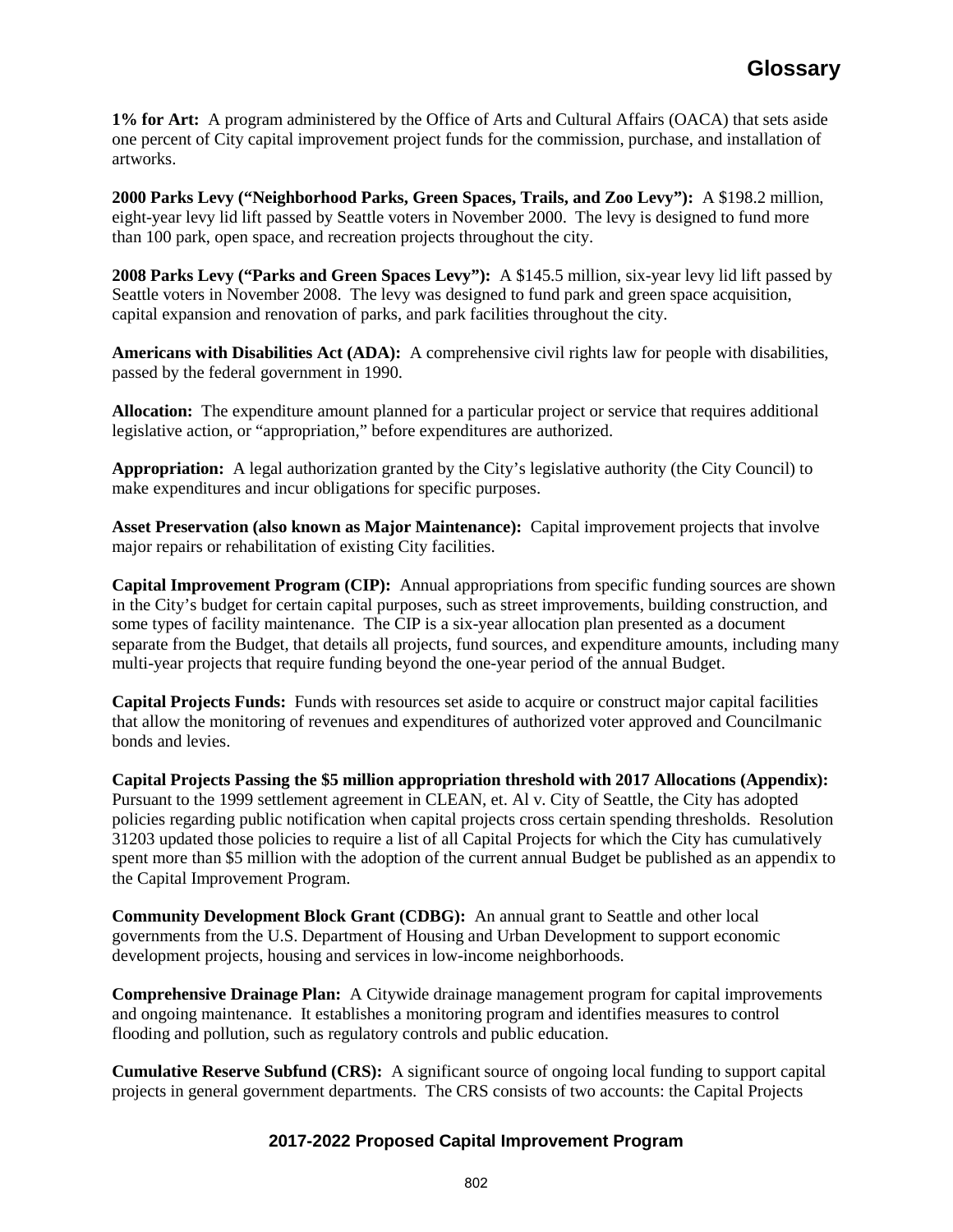**1% for Art:** A program administered by the Office of Arts and Cultural Affairs (OACA) that sets aside one percent of City capital improvement project funds for the commission, purchase, and installation of artworks.

**2000 Parks Levy ("Neighborhood Parks, Green Spaces, Trails, and Zoo Levy"):** A \$198.2 million, eight-year levy lid lift passed by Seattle voters in November 2000. The levy is designed to fund more than 100 park, open space, and recreation projects throughout the city.

**2008 Parks Levy ("Parks and Green Spaces Levy"):** A \$145.5 million, six-year levy lid lift passed by Seattle voters in November 2008. The levy was designed to fund park and green space acquisition, capital expansion and renovation of parks, and park facilities throughout the city.

**Americans with Disabilities Act (ADA):** A comprehensive civil rights law for people with disabilities, passed by the federal government in 1990.

**Allocation:** The expenditure amount planned for a particular project or service that requires additional legislative action, or "appropriation," before expenditures are authorized.

**Appropriation:** A legal authorization granted by the City's legislative authority (the City Council) to make expenditures and incur obligations for specific purposes.

**Asset Preservation (also known as Major Maintenance):** Capital improvement projects that involve major repairs or rehabilitation of existing City facilities.

**Capital Improvement Program (CIP):** Annual appropriations from specific funding sources are shown in the City's budget for certain capital purposes, such as street improvements, building construction, and some types of facility maintenance. The CIP is a six-year allocation plan presented as a document separate from the Budget, that details all projects, fund sources, and expenditure amounts, including many multi-year projects that require funding beyond the one-year period of the annual Budget.

**Capital Projects Funds:** Funds with resources set aside to acquire or construct major capital facilities that allow the monitoring of revenues and expenditures of authorized voter approved and Councilmanic bonds and levies.

**Capital Projects Passing the \$5 million appropriation threshold with 2017 Allocations (Appendix):**  Pursuant to the 1999 settlement agreement in CLEAN, et. Al v. City of Seattle, the City has adopted policies regarding public notification when capital projects cross certain spending thresholds. Resolution 31203 updated those policies to require a list of all Capital Projects for which the City has cumulatively spent more than \$5 million with the adoption of the current annual Budget be published as an appendix to the Capital Improvement Program.

**Community Development Block Grant (CDBG):** An annual grant to Seattle and other local governments from the U.S. Department of Housing and Urban Development to support economic development projects, housing and services in low-income neighborhoods.

**Comprehensive Drainage Plan:** A Citywide drainage management program for capital improvements and ongoing maintenance. It establishes a monitoring program and identifies measures to control flooding and pollution, such as regulatory controls and public education.

**Cumulative Reserve Subfund (CRS):** A significant source of ongoing local funding to support capital projects in general government departments. The CRS consists of two accounts: the Capital Projects

## **2017-2022 Proposed Capital Improvement Program**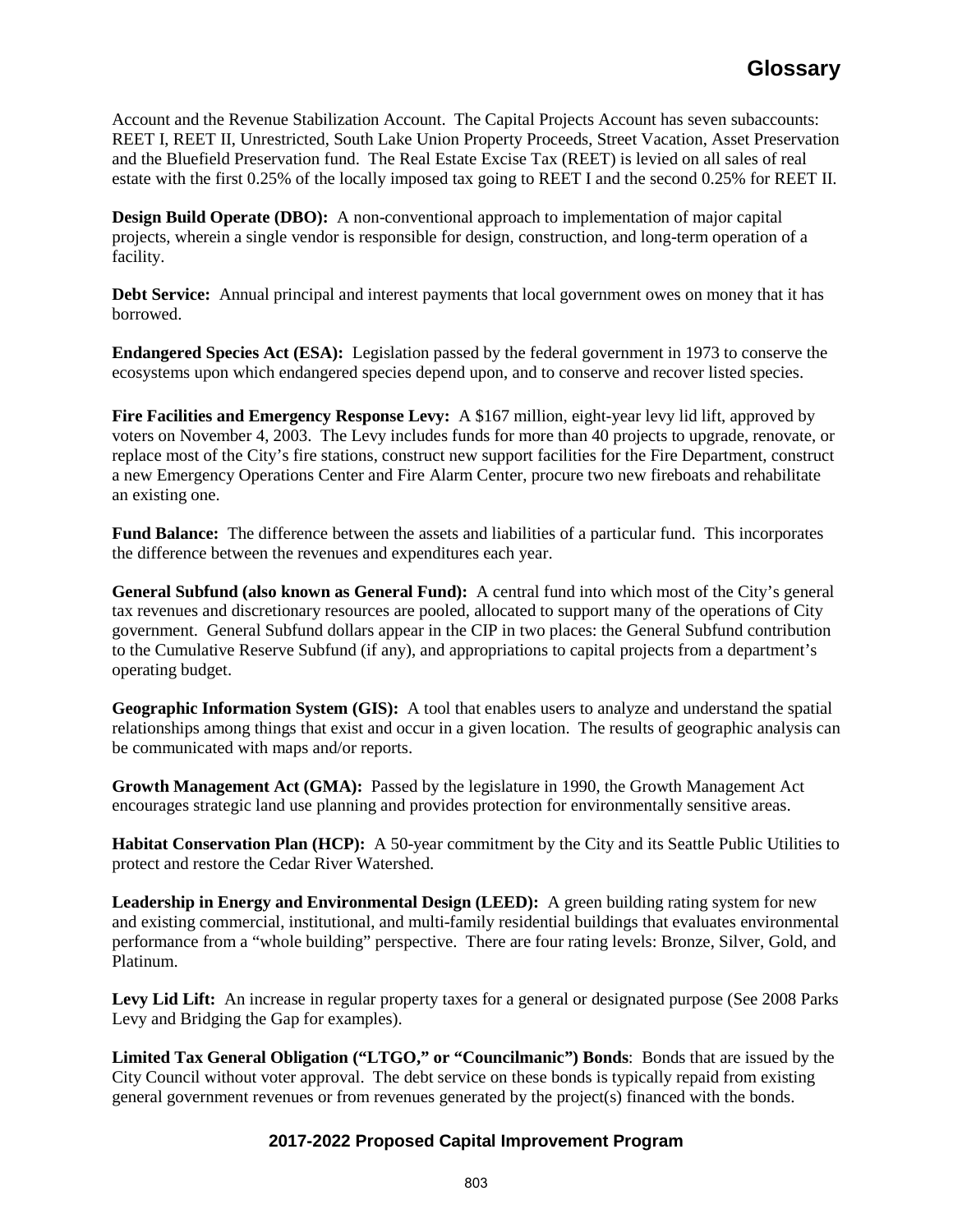Account and the Revenue Stabilization Account. The Capital Projects Account has seven subaccounts: REET I, REET II, Unrestricted, South Lake Union Property Proceeds, Street Vacation, Asset Preservation and the Bluefield Preservation fund. The Real Estate Excise Tax (REET) is levied on all sales of real estate with the first 0.25% of the locally imposed tax going to REET I and the second 0.25% for REET II.

**Design Build Operate (DBO):** A non-conventional approach to implementation of major capital projects, wherein a single vendor is responsible for design, construction, and long-term operation of a facility.

**Debt Service:** Annual principal and interest payments that local government owes on money that it has borrowed.

**Endangered Species Act (ESA):** Legislation passed by the federal government in 1973 to conserve the ecosystems upon which endangered species depend upon, and to conserve and recover listed species.

**Fire Facilities and Emergency Response Levy:** A \$167 million, eight-year levy lid lift, approved by voters on November 4, 2003. The Levy includes funds for more than 40 projects to upgrade, renovate, or replace most of the City's fire stations, construct new support facilities for the Fire Department, construct a new Emergency Operations Center and Fire Alarm Center, procure two new fireboats and rehabilitate an existing one.

**Fund Balance:** The difference between the assets and liabilities of a particular fund. This incorporates the difference between the revenues and expenditures each year.

**General Subfund (also known as General Fund):** A central fund into which most of the City's general tax revenues and discretionary resources are pooled, allocated to support many of the operations of City government. General Subfund dollars appear in the CIP in two places: the General Subfund contribution to the Cumulative Reserve Subfund (if any), and appropriations to capital projects from a department's operating budget.

**Geographic Information System (GIS):** A tool that enables users to analyze and understand the spatial relationships among things that exist and occur in a given location. The results of geographic analysis can be communicated with maps and/or reports.

**Growth Management Act (GMA):** Passed by the legislature in 1990, the Growth Management Act encourages strategic land use planning and provides protection for environmentally sensitive areas.

**Habitat Conservation Plan (HCP):** A 50-year commitment by the City and its Seattle Public Utilities to protect and restore the Cedar River Watershed.

**Leadership in Energy and Environmental Design (LEED):** A green building rating system for new and existing commercial, institutional, and multi-family residential buildings that evaluates environmental performance from a "whole building" perspective. There are four rating levels: Bronze, Silver, Gold, and Platinum.

Levy Lid Lift: An increase in regular property taxes for a general or designated purpose (See 2008 Parks Levy and Bridging the Gap for examples).

**Limited Tax General Obligation ("LTGO," or "Councilmanic") Bonds**: Bonds that are issued by the City Council without voter approval. The debt service on these bonds is typically repaid from existing general government revenues or from revenues generated by the project(s) financed with the bonds.

## **2017-2022 Proposed Capital Improvement Program**